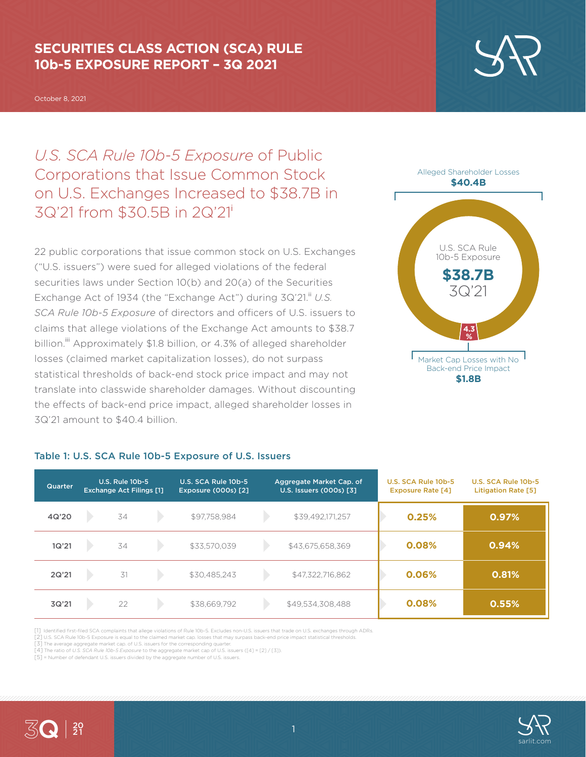## **SECURITIES CLASS ACTION (SCA) RULE 10b-5 EXPOSURE REPORT – 3Q 2021**

October 8, 2021

*U.S. SCA Rule 10b-5 Exposure* of Public Corporations that Issue Common Stock on U.S. Exchanges Increased to \$38.7B in 3Q'21 from \$30.5B in 2Q'21<sup>i</sup>

22 public corporations that issue common stock on U.S. Exchanges ("U.S. issuers") were sued for alleged violations of the federal securities laws under Section 10(b) and 20(a) of the Securities Exchange Act of 1934 (the "Exchange Act") during 3Q'21.<sup>ii</sup> U.S. *SCA Rule 10b-5 Exposure* of directors and officers of U.S. issuers to claims that allege violations of the Exchange Act amounts to \$38.7 billion.<sup>iii</sup> Approximately \$1.8 billion, or 4.3% of alleged shareholder losses (claimed market capitalization losses), do not surpass statistical thresholds of back-end stock price impact and may not translate into classwide shareholder damages. Without discounting the effects of back-end price impact, alleged shareholder losses in 3Q'21 amount to \$40.4 billion.



#### **\$1.8B**

| <b>Quarter</b> | <b>U.S. Rule 10b-5</b><br><b>Exchange Act Filings [1]</b> |    | U.S. SCA Rule 10b-5<br><b>Exposure (000s) [2]</b> | Aggregate Market Cap. of<br>U.S. Issuers (000s) [3] |  | U.S. SCA Rule 10b-5<br><b>Exposure Rate [4]</b> | U.S. SCA Rule 10b-5<br><b>Litigation Rate [5]</b> |       |
|----------------|-----------------------------------------------------------|----|---------------------------------------------------|-----------------------------------------------------|--|-------------------------------------------------|---------------------------------------------------|-------|
| 4Q'20          |                                                           | 34 |                                                   | \$97,758,984                                        |  | \$39,492,171,257                                | 0.25%                                             | 0.97% |
| 1Q'21          |                                                           | 34 |                                                   | \$33.570.039                                        |  | \$43,675,658,369                                | 0.08%                                             | 0.94% |
| 2Q'21          |                                                           | 31 |                                                   | \$30,485,243                                        |  | \$47,322,716,862                                | 0.06%                                             | 0.81% |
| 3Q'21          |                                                           | 22 |                                                   | \$38,669,792                                        |  | \$49,534,308,488                                | 0.08%                                             | 0.55% |

### Table 1: U.S. SCA Rule 10b-5 Exposure of U.S. Issuers

[1] Identified first-filed SCA complaints that allege violations of Rule 10b-5. Excludes non-U.S. issuers that trade on U.S. exchanges through ADRs.

[2] U.S. SCA Rule 10b-5 Exposure is equal to the claimed market cap. losses that may surpass back-end price impact statistical thresholds. [3] The average aggregate market cap. of U.S. issuers for the corresponding quarter.

[4] The ratio of *U.S. SCA Rule 10b-5 Exposure* to the aggregate market cap of U.S. issuers ([4] = [2] / [3]).

[5] = Number of defendant U.S. issuers divided by the aggregate number of U.S. issuers.



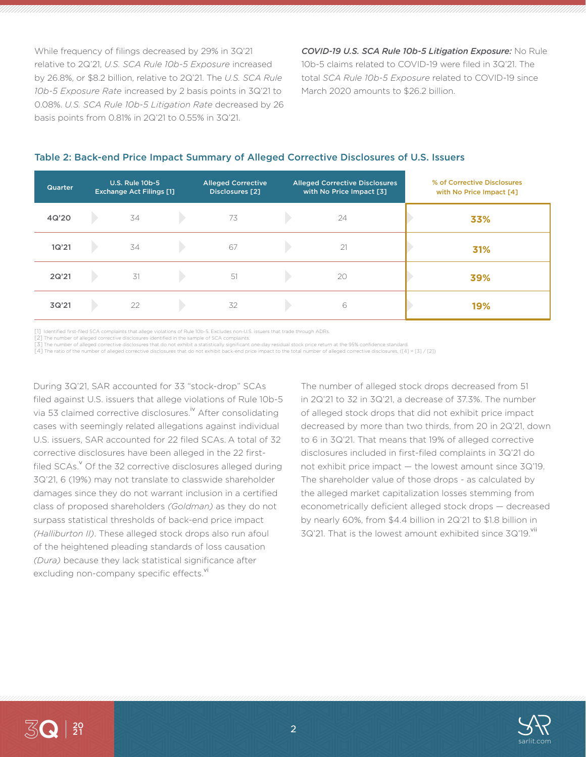While frequency of filings decreased by 29% in 3Q'21 relative to 2Q'21, *U.S. SCA Rule 10b-5 Exposure* increased by 26.8%, or \$8.2 billion, relative to 2Q'21. The *U.S. SCA Rule 10b-5 Exposure Rate* increased by 2 basis points in 3Q'21 to 0.08%. *U.S. SCA Rule 10b-5 Litigation Rate* decreased by 26 basis points from 0.81% in 2Q'21 to 0.55% in 3Q'21.

*COVID-19 U.S. SCA Rule 10b-5 Litigation Exposure:* No Rule 10b-5 claims related to COVID-19 were filed in 3Q'21. The total *SCA Rule 10b-5 Exposure* related to COVID-19 since March 2020 amounts to \$26.2 billion.

| <b>Quarter</b> | <b>U.S. Rule 10b-5</b><br><b>Exchange Act Filings [1]</b> | <b>Alleged Corrective</b><br>Disclosures [2] | <b>Alleged Corrective Disclosures</b><br>with No Price Impact [3] | % of Corrective Disclosures<br>with No Price Impact [4] |
|----------------|-----------------------------------------------------------|----------------------------------------------|-------------------------------------------------------------------|---------------------------------------------------------|
| 4Q'20          | 34                                                        | 73                                           | 24                                                                | 33%                                                     |
| 1Q'21          | 34                                                        | 67                                           | 21                                                                | 31%                                                     |
| 2Q'21          | 31                                                        | 51                                           | 20                                                                | 39%                                                     |
| 3Q'21          | 22                                                        | 32                                           | 6                                                                 | 19%                                                     |

#### Table 2: Back-end Price Impact Summary of Alleged Corrective Disclosures of U.S. Issuers

[1] Identified first-filed SCA complaints that allege violations of Rule 10b-5. Excludes non-U.S. issuers that trade through ADRs.

[2] The number of alleged corrective disclosures identified in the sample of SCA complaints.

[3] The number of alleged corrective disclosures that do not exhibit a statistically significant one-day residual stock price return at the 95% confidence standard. [4] The ratio of the number of alleged corrective disclosures that do not exhibit back-end price impact to the total number of alleged corrective disclosures. ([4] = [3] / [2])

During 3Q'21, SAR accounted for 33 "stock-drop" SCAs filed against U.S. issuers that allege violations of Rule 10b-5 via 53 claimed corrective disclosures.<sup>iv</sup> After consolidating cases with seemingly related allegations against individual U.S. issuers, SAR accounted for 22 filed SCAs. A total of 32 corrective disclosures have been alleged in the 22 firstfiled SCAs.<sup>v</sup> Of the 32 corrective disclosures alleged during 3Q'21, 6 (19%) may not translate to classwide shareholder damages since they do not warrant inclusion in a certified class of proposed shareholders *(Goldman)* as they do not surpass statistical thresholds of back-end price impact *(Halliburton II)*. These alleged stock drops also run afoul of the heightened pleading standards of loss causation *(Dura)* because they lack statistical significance after excluding non-company specific effects.<sup>vi</sup>

The number of alleged stock drops decreased from 51 in 2Q'21 to 32 in 3Q'21, a decrease of 37.3%. The number of alleged stock drops that did not exhibit price impact decreased by more than two thirds, from 20 in 2Q'21, down to 6 in 3Q'21. That means that 19% of alleged corrective disclosures included in first-filed complaints in 3Q'21 do not exhibit price impact — the lowest amount since 3Q'19. The shareholder value of those drops - as calculated by the alleged market capitalization losses stemming from econometrically deficient alleged stock drops — decreased by nearly 60%, from \$4.4 billion in 2Q'21 to \$1.8 billion in  $3Q'21$ . That is the lowest amount exhibited since  $3Q'19$ . Vii

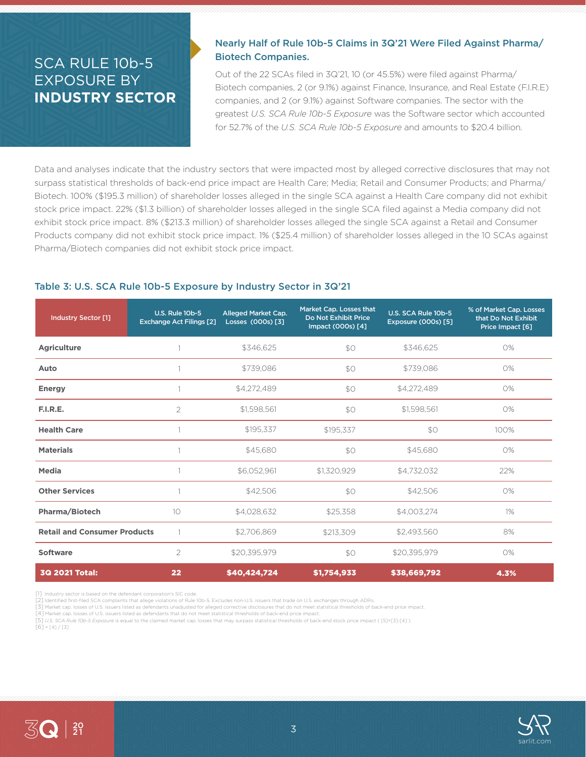# SCA RULE 10b-5 EXPOSURE BY **INDUSTRY SECTOR**

## Nearly Half of Rule 10b-5 Claims in 3Q'21 Were Filed Against Pharma/ Biotech Companies.

Out of the 22 SCAs filed in 3Q'21, 10 (or 45.5%) were filed against Pharma/ Biotech companies, 2 (or 9.1%) against Finance, Insurance, and Real Estate (F.I.R.E) companies, and 2 (or 9.1%) against Software companies. The sector with the greatest *U.S. SCA Rule 10b-5 Exposure* was the Software sector which accounted for 52.7% of the *U.S. SCA Rule 10b-5 Exposure* and amounts to \$20.4 billion.

Data and analyses indicate that the industry sectors that were impacted most by alleged corrective disclosures that may not surpass statistical thresholds of back-end price impact are Health Care; Media; Retail and Consumer Products; and Pharma/ Biotech. 100% (\$195.3 million) of shareholder losses alleged in the single SCA against a Health Care company did not exhibit stock price impact. 22% (\$1.3 billion) of shareholder losses alleged in the single SCA filed against a Media company did not exhibit stock price impact. 8% (\$213.3 million) of shareholder losses alleged the single SCA against a Retail and Consumer Products company did not exhibit stock price impact. 1% (\$25.4 million) of shareholder losses alleged in the 10 SCAs against Pharma/Biotech companies did not exhibit stock price impact.

#### Table 3: U.S. SCA Rule 10b-5 Exposure by Industry Sector in 3Q'21

| <b>Industry Sector [1]</b>          | <b>U.S. Rule 10b-5</b><br><b>Exchange Act Filings [2]</b> | Alleged Market Cap.<br>Losses (000s) [3] | Market Cap. Losses that<br>Do Not Exhibit Price<br>Impact (000s) [4] | U.S. SCA Rule 10b-5<br>Exposure (000s) [5] | % of Market Cap. Losses<br>that Do Not Exhibit<br>Price Impact [6] |
|-------------------------------------|-----------------------------------------------------------|------------------------------------------|----------------------------------------------------------------------|--------------------------------------------|--------------------------------------------------------------------|
| <b>Agriculture</b>                  |                                                           | \$346,625                                | \$0                                                                  | \$346,625                                  | 0%                                                                 |
| Auto                                |                                                           | \$739,086                                | \$O                                                                  | \$739,086                                  | 0%                                                                 |
| <b>Energy</b>                       |                                                           | \$4,272,489                              | \$0                                                                  | \$4,272,489                                | 0%                                                                 |
| F.I.R.E.                            | $\overline{2}$                                            | \$1,598,561                              | \$O                                                                  | \$1,598,561                                | 0%                                                                 |
| <b>Health Care</b>                  |                                                           | \$195,337                                | \$195,337                                                            | \$0                                        | 100%                                                               |
| <b>Materials</b>                    |                                                           | \$45,680                                 | \$O                                                                  | \$45,680                                   | 0%                                                                 |
| Media                               |                                                           | \$6,052,961                              | \$1,320,929                                                          | \$4,732,032                                | 22%                                                                |
| <b>Other Services</b>               |                                                           | \$42,506                                 | \$0                                                                  | \$42,506                                   | O%                                                                 |
| Pharma/Biotech                      | 10 <sup>°</sup>                                           | \$4,028,632                              | \$25,358                                                             | \$4,003,274                                | $1\%$                                                              |
| <b>Retail and Consumer Products</b> |                                                           | \$2,706,869                              | \$213,309                                                            | \$2,493,560                                | 8%                                                                 |
| <b>Software</b>                     | 2                                                         | \$20,395,979                             | \$O                                                                  | \$20,395,979                               | 0%                                                                 |
| <b>3Q 2021 Total:</b>               | 22                                                        | \$40,424,724                             | \$1,754,933                                                          | \$38,669,792                               | 4.3%                                                               |

[1] Industry sector is based on the defendant corporation's SIC code.

[2] Identified first-filed SCA complaints that allege violations of Rule 10b-5. Excludes non-U.S. issuers that trade on U.S. exchanges through ADRs.

[3] Market cap. losses of U.S. issuers listed as defendants unadjusted for alleged corrective disclosures that do not meet statistical thresholds of back-end price impact.

[4] Market cap. losses of U.S. issuers listed as defendants that do not meet statistical thresholds of back-end price impact.

[5] *U.S. SCA Rule 10b-5 Exposure* is equal to the claimed market cap. losses that may surpass statistical thresholds of back-end stock price impact ( [5]=[3]-[4] ).

 $[6] = [4] / [3]$ 



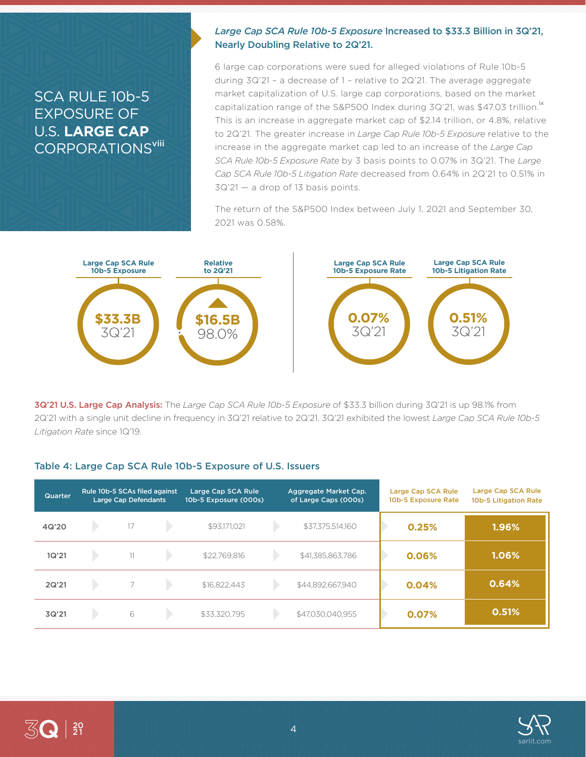# SCA RULE 10b-5 EXPOSURE OF U.S. **LARGE CAP CORPORATIONS<sup>viii</sup>**

### *Large Cap SCA Rule 10b-5 Exposure* Increased to \$33.3 Billion in 3Q'21, Nearly Doubling Relative to 2Q'21.

6 large cap corporations were sued for alleged violations of Rule 10b-5 during 3Q'21 – a decrease of 1 – relative to 2Q'21. The average aggregate market capitalization of U.S. large cap corporations, based on the market capitalization range of the S&P500 Index during 3Q'21, was \$47.03 trillion.<sup>1x</sup> This is an increase in aggregate market cap of \$2.14 trillion, or 4.8%, relative to 2Q'21. The greater increase in *Large Cap Rule 10b-5 Exposure* relative to the increase in the aggregate market cap led to an increase of the *Large Cap SCA Rule 10b-5 Exposure Rate* by 3 basis points to 0.07% in 3Q'21. The *Large Cap SCA Rule 10b-5 Litigation Rate* decreased from 0.64% in 2Q'21 to 0.51% in 3Q'21 — a drop of 13 basis points.

The return of the S&P500 Index between July 1, 2021 and September 30, 2021 was 0.58%.



3Q'21 U.S. Large Cap Analysis: The *Large Cap SCA Rule 10b-5 Exposure* of \$33.3 billion during 3Q'21 is up 98.1% from 2Q'21 with a single unit decline in frequency in 3Q'21 relative to 2Q'21. 3Q'21 exhibited the lowest *Large Cap SCA Rule 10b-5 Litigation Rate* since 1Q'19.

#### Table 4: Large Cap SCA Rule 10b-5 Exposure of U.S. Issuers

| <b>Quarter</b> | Rule 10b-5 SCAs filed against<br><b>Large Cap Defendants</b> |                          | Large Cap SCA Rule<br>10b-5 Exposure (000s) |              | Aggregate Market Cap.<br>of Large Caps (000s) | Large Cap SCA Rule<br>10b-5 Exposure Rate | Large Cap SCA Rule<br>10b-5 Litigation Rate |          |
|----------------|--------------------------------------------------------------|--------------------------|---------------------------------------------|--------------|-----------------------------------------------|-------------------------------------------|---------------------------------------------|----------|
| 4Q'20          |                                                              | 17                       |                                             | \$93,171,021 |                                               | \$37,375,514,160                          | 0.25%                                       | $1.96\%$ |
| 1Q'21          |                                                              | 11                       |                                             | \$22,769,816 |                                               | \$41,385,863,786                          | 0.06%                                       | 1.06%    |
| 2Q'21          |                                                              | $\overline{\phantom{1}}$ |                                             | \$16,822,443 |                                               | \$44,892,667,940                          | 0.04%                                       | 0.64%    |
| 3Q'21          |                                                              | 6                        |                                             | \$33,320,795 |                                               | \$47,030,040,955                          | 0.07%                                       | 0.51%    |

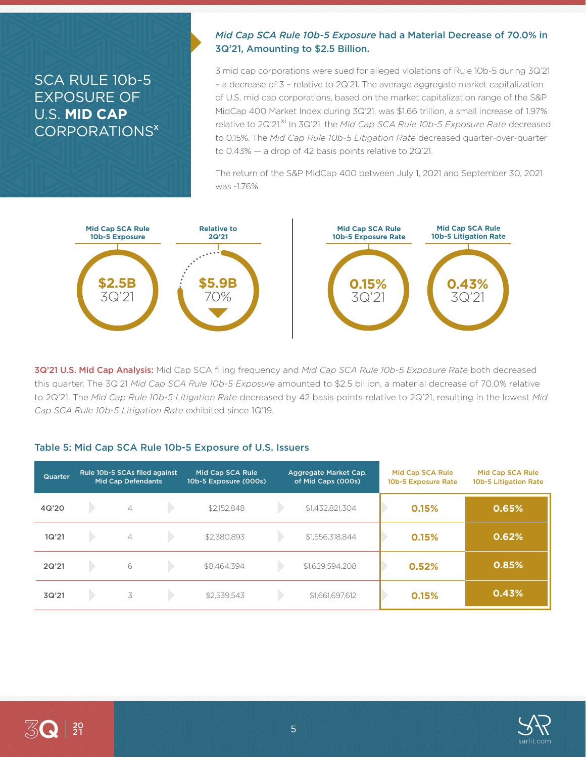# SCA RULE 10b-5 EXPOSURE OF U.S. **MID CAP** CORPORATIONS<sup>x</sup>

### *Mid Cap SCA Rule 10b-5 Exposure* had a Material Decrease of 70.0% in 3Q'21, Amounting to \$2.5 Billion.

3 mid cap corporations were sued for alleged violations of Rule 10b-5 during 3Q'21 – a decrease of 3 – relative to 2Q'21. The average aggregate market capitalization of U.S. mid cap corporations, based on the market capitalization range of the S&P MidCap 400 Market Index during 3Q'21, was \$1.66 trillion, a small increase of 1.97% relative to 2Q'21.<sup>xi</sup> In 3Q'21, the *Mid Cap SCA Rule 10b-5 Exposure Rate* decreased to 0.15%. The *Mid Cap Rule 10b-5 Litigation Rate* decreased quarter-over-quarter to 0.43% — a drop of 42 basis points relative to 2Q'21.

The return of the S&P MidCap 400 between July 1, 2021 and September 30, 2021 was -1.76%.



3Q'21 U.S. Mid Cap Analysis: Mid Cap SCA filing frequency and *Mid Cap SCA Rule 10b-5 Exposure Rate* both decreased this quarter. The 3Q'21 *Mid Cap SCA Rule 10b-5 Exposure* amounted to \$2.5 billion, a material decrease of 70.0% relative to 2Q'21. The *Mid Cap Rule 10b-5 Litigation Rate* decreased by 42 basis points relative to 2Q'21, resulting in the lowest *Mid Cap SCA Rule 10b-5 Litigation Rate* exhibited since 1Q'19.

#### Table 5: Mid Cap SCA Rule 10b-5 Exposure of U.S. Issuers

| Quarter | Rule 10b-5 SCAs filed against<br><b>Mid Cap Defendants</b> |                | Mid Cap SCA Rule<br>10b-5 Exposure (000s) |             | Aggregate Market Cap.<br>of Mid Caps (000s) | Mid Cap SCA Rule<br>10b-5 Exposure Rate | Mid Cap SCA Rule<br>10b-5 Litigation Rate |       |
|---------|------------------------------------------------------------|----------------|-------------------------------------------|-------------|---------------------------------------------|-----------------------------------------|-------------------------------------------|-------|
| 4Q'20   |                                                            | $\overline{4}$ |                                           | \$2,152,848 |                                             | \$1,432,821,304                         | 0.15%                                     | 0.65% |
| 1Q'21   |                                                            | $\overline{4}$ |                                           | \$2,380,893 |                                             | \$1,556,318,844                         | 0.15%                                     | 0.62% |
| 2Q'21   |                                                            | 6              |                                           | \$8,464,394 |                                             | \$1,629,594,208                         | 0.52%                                     | 0.85% |
| 3Q'21   |                                                            | 3              |                                           | \$2,539,543 |                                             | \$1,661,697,612                         | 0.15%                                     | 0.43% |

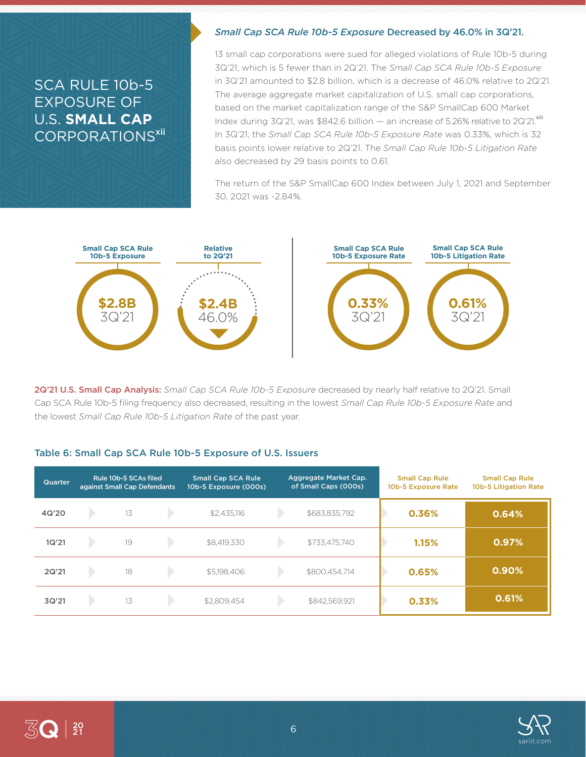# SCA RULE 10b-5 EXPOSURE OF U.S. **SMALL CAP** CORPORATIONS<sup>xii'</sup>

#### *Small Cap SCA Rule 10b-5 Exposure* Decreased by 46.0% in 3Q'21.

13 small cap corporations were sued for alleged violations of Rule 10b-5 during 3Q'21, which is 5 fewer than in 2Q'21. The *Small Cap SCA Rule 10b-5 Exposure*  in 3Q'21 amounted to \$2.8 billion, which is a decrease of 46.0% relative to 2Q'21. The average aggregate market capitalization of U.S. small cap corporations, based on the market capitalization range of the S&P SmallCap 600 Market Index during 3Q'21, was \$842.6 billion  $-$  an increase of 5.26% relative to 2Q'21. $^{\text{xiii}}$ In 3Q'21, the *Small Cap SCA Rule 10b-5 Exposure Rate* was 0.33%, which is 32 basis points lower relative to 2Q'21. The *Small Cap Rule 10b-5 Litigation Rate* also decreased by 29 basis points to 0.61.

The return of the S&P SmallCap 600 Index between July 1, 2021 and September 30, 2021 was -2.84%.



2Q'21 U.S. Small Cap Analysis: *Small Cap SCA Rule 10b-5 Exposure* decreased by nearly half relative to 2Q'21. Small Cap SCA Rule 10b-5 filing frequency also decreased, resulting in the lowest *Small Cap Rule 10b-5 Exposure Rate* and the lowest *Small Cap Rule 10b-5 Litigation Rate* of the past year.

#### Table 6: Small Cap SCA Rule 10b-5 Exposure of U.S. Issuers

| <b>Quarter</b> | Rule 10b-5 SCAs filed<br>against Small Cap Defendants |    | <b>Small Cap SCA Rule</b><br>10b-5 Exposure (000s) | Aggregate Market Cap.<br>of Small Caps (000s) |  | <b>Small Cap Rule</b><br>10b-5 Exposure Rate | <b>Small Cap Rule</b><br>10b-5 Litigation Rate |       |
|----------------|-------------------------------------------------------|----|----------------------------------------------------|-----------------------------------------------|--|----------------------------------------------|------------------------------------------------|-------|
| 4Q'20          |                                                       | 13 |                                                    | \$2,435,116                                   |  | \$683,835,792                                | 0.36%                                          | 0.64% |
| 1Q'21          |                                                       | 19 |                                                    | \$8,419,330                                   |  | \$733,475,740                                | 1.15%                                          | 0.97% |
| 2Q'21          |                                                       | 18 |                                                    | \$5,198,406                                   |  | \$800,454,714                                | 0.65%                                          | 0.90% |
| 3Q'21          |                                                       | 13 |                                                    | \$2,809.454                                   |  | \$842,569,921                                | 0.33%                                          | 0.61% |

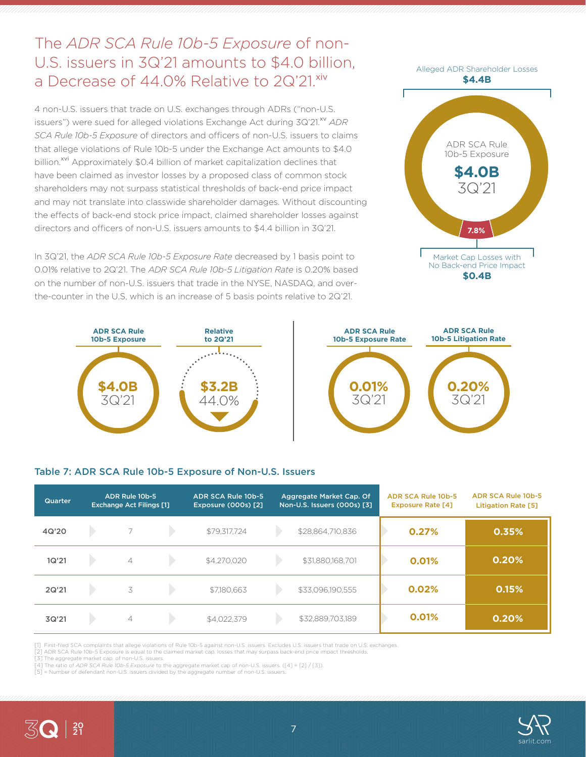# The *ADR SCA Rule 10b-5 Exposure* of non-U.S. issuers in 3Q'21 amounts to \$4.0 billion, a Decrease of 44.0% Relative to 2Q'21.xiv

4 non-U.S. issuers that trade on U.S. exchanges through ADRs ("non-U.S. issuers") were sued for alleged violations Exchange Act during 3Q'21.<sup>xv</sup> ADR *SCA Rule 10b-5 Exposure* of directors and officers of non-U.S. issuers to claims that allege violations of Rule 10b-5 under the Exchange Act amounts to \$4.0 billion.<sup>xvi</sup> Approximately \$0.4 billion of market capitalization declines that have been claimed as investor losses by a proposed class of common stock shareholders may not surpass statistical thresholds of back-end price impact and may not translate into classwide shareholder damages. Without discounting the effects of back-end stock price impact, claimed shareholder losses against directors and officers of non-U.S. issuers amounts to \$4.4 billion in 3Q'21.

In 3Q'21, the *ADR SCA Rule 10b-5 Exposure Rate* decreased by 1 basis point to 0.01% relative to 2Q'21. The *ADR SCA Rule 10b-5 Litigation Rate* is 0.20% based on the number of non-U.S. issuers that trade in the NYSE, NASDAQ, and overthe-counter in the U.S, which is an increase of 5 basis points relative to 2Q'21.





#### Table 7: ADR SCA Rule 10b-5 Exposure of Non-U.S. Issuers

| Quarter | ADR Rule 10b-5<br><b>Exchange Act Filings [1]</b> |                | ADR SCA Rule 10b-5<br><b>Exposure (000s) [2]</b> | Aggregate Market Cap. Of<br>Non-U.S. Issuers (000s) [3] |  | ADR SCA Rule 10b-5<br><b>Exposure Rate [4]</b> | <b>ADR SCA Rule 10b-5</b><br><b>Litigation Rate [5]</b> |       |
|---------|---------------------------------------------------|----------------|--------------------------------------------------|---------------------------------------------------------|--|------------------------------------------------|---------------------------------------------------------|-------|
| 4Q'20   |                                                   | 7              |                                                  | \$79,317,724                                            |  | \$28,864,710,836                               | 0.27%                                                   | 0.35% |
| 1Q'21   |                                                   | $\overline{4}$ |                                                  | \$4,270,020                                             |  | \$31,880,168,701                               | 0.01%                                                   | 0.20% |
| 2Q'21   |                                                   | 3              |                                                  | \$7,180,663                                             |  | \$33,096,190,555                               | 0.02%                                                   | 0.15% |
| 3Q'21   |                                                   | $\overline{4}$ |                                                  | \$4,022,379                                             |  | \$32,889,703,189                               | 0.01%                                                   | 0.20% |

[1] First-filed SCA complaints that allege violations of Rule 10b-5 against non-U.S. issuers. Excludes U.S. issuers that trade on U.S. exchanges.

[2] ADR SCA Rule 10b-5 Exposure is equal to the claimed market cap. losses that may surpass back-end price impact thresholds. [3] The aggregate market cap. of non-U.S. issuers.

[4] The ratio of *ADR SCA Rule 10b-5 Exposure* to the aggregate market cap of non-U.S. issuers. ([4] = [2] / [3]).

[5] = Number of defendant non-U.S. issuers divided by the aggregate number of non-U.S. issuers.



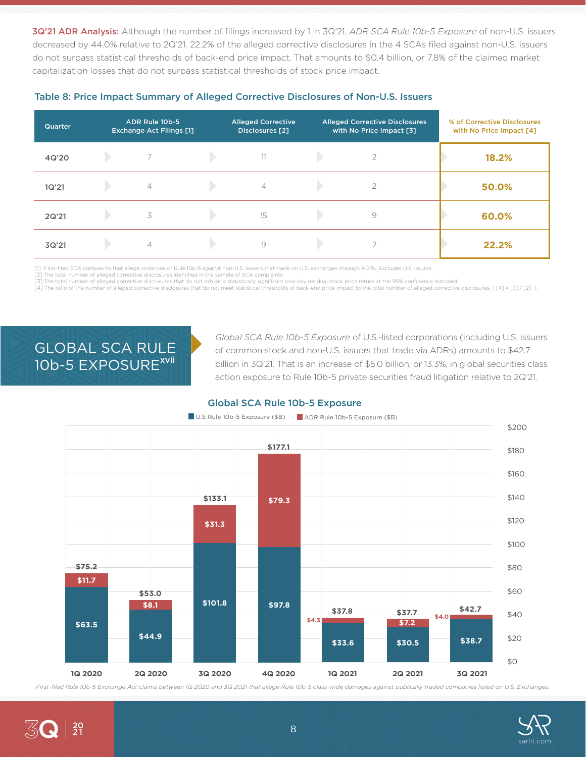3Q'21 ADR Analysis: Although the number of filings increased by 1 in 3Q'21, *ADR SCA Rule 10b-5 Exposure* of non-U.S. issuers decreased by 44.0% relative to 2Q'21. 22.2% of the alleged corrective disclosures in the 4 SCAs filed against non-U.S. issuers do not surpass statistical thresholds of back-end price impact. That amounts to \$0.4 billion, or 7.8% of the claimed market capitalization losses that do not surpass statistical thresholds of stock price impact.

| <b>Quarter</b> | ADR Rule 10b-5<br><b>Exchange Act Filings [1]</b> | <b>Alleged Corrective</b><br>Disclosures [2] | <b>Alleged Corrective Disclosures</b><br>with No Price Impact [3] | % of Corrective Disclosures<br>with No Price Impact [4] |
|----------------|---------------------------------------------------|----------------------------------------------|-------------------------------------------------------------------|---------------------------------------------------------|
| 4Q'20          |                                                   | 11                                           |                                                                   | 18.2%                                                   |
| 1Q'21          | $\overline{4}$                                    | $\overline{4}$                               | ◠                                                                 | 50.0%                                                   |
| 2Q'21          | 3                                                 | 15                                           | 9                                                                 | 60.0%                                                   |
| 3Q'21          | $\overline{\mathcal{A}}$                          | 9                                            |                                                                   | 22.2%                                                   |

#### Table 8: Price Impact Summary of Alleged Corrective Disclosures of Non-U.S. Issuers

[1] First-filed SCA complaints that allege violations of Rule 10b-5 against non-U.S. issuers that trade on U.S. exchanges through ADRs. Excludes U.S. issuers.

[2] The total number of alleged corrective disclosures identified in the sample of SCA complaints

[3] The total number of alleged corrective disclosures that do not exhibit a statistically significant one-day residual stock price return at the 95% confidence standard. [4] The ratio of the number of alleged corrective disclosures that do not meet statistical thresholds of back-end price impact to the total number of alleged corrective disclosures. ([4] = [3] / [2] ).

# GLOBAL SCA RULE 10b-5 EXPOSURE<sup>xvii</sup>

*Global SCA Rule 10b-5 Exposure* of U.S.-listed corporations (including U.S. issuers of common stock and non-U.S. issuers that trade via ADRs) amounts to \$42.7 billion in 3Q'21. That is an increase of \$5.0 billion, or 13.3%, in global securities class action exposure to Rule 10b-5 private securities fraud litigation relative to 2Q'21.

#### Global SCA Rule 10b-5 Exposure



*First-filed Rule 10b-5 Exchange Act claims between 1Q 2020 and 3Q 2021 that allege Rule 10b-5 class-wide damages against publically traded companies listed on U.S. Exchanges.*